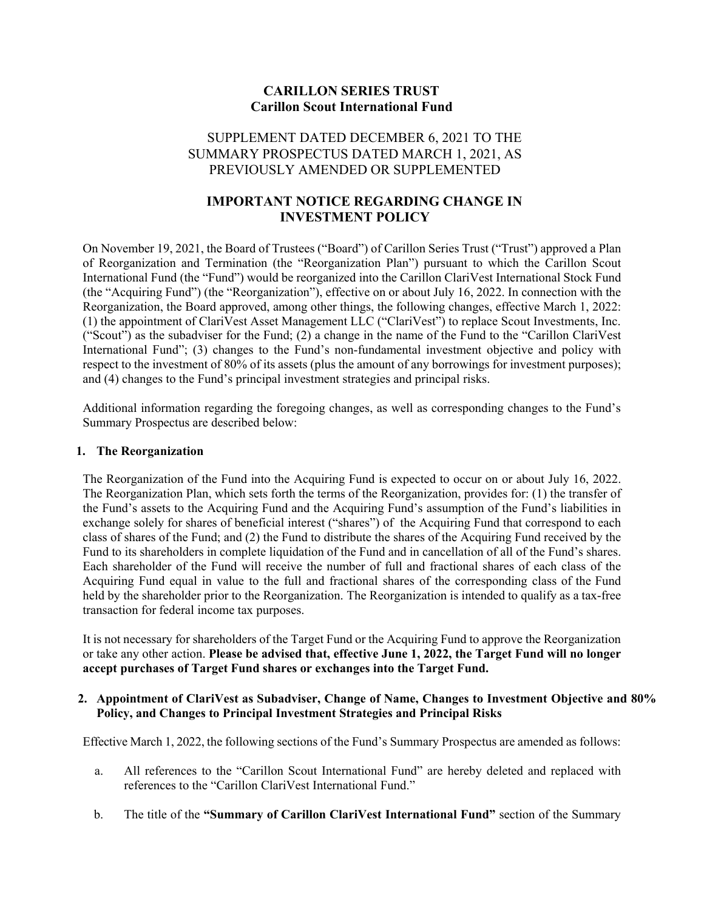#### **CARILLON SERIES TRUST Carillon Scout International Fund**

#### SUPPLEMENT DATED DECEMBER 6, 2021 TO THE SUMMARY PROSPECTUS DATED MARCH 1, 2021, AS PREVIOUSLY AMENDED OR SUPPLEMENTED

### **IMPORTANT NOTICE REGARDING CHANGE IN INVESTMENT POLICY**

On November 19, 2021, the Board of Trustees ("Board") of Carillon Series Trust ("Trust") approved a Plan of Reorganization and Termination (the "Reorganization Plan") pursuant to which the Carillon Scout International Fund (the "Fund") would be reorganized into the Carillon ClariVest International Stock Fund (the "Acquiring Fund") (the "Reorganization"), effective on or about July 16, 2022. In connection with the Reorganization, the Board approved, among other things, the following changes, effective March 1, 2022: (1) the appointment of ClariVest Asset Management LLC ("ClariVest") to replace Scout Investments, Inc. ("Scout") as the subadviser for the Fund; (2) a change in the name of the Fund to the "Carillon ClariVest International Fund"; (3) changes to the Fund's non-fundamental investment objective and policy with respect to the investment of 80% of its assets (plus the amount of any borrowings for investment purposes); and (4) changes to the Fund's principal investment strategies and principal risks.

Additional information regarding the foregoing changes, as well as corresponding changes to the Fund's Summary Prospectus are described below:

#### **1. The Reorganization**

The Reorganization of the Fund into the Acquiring Fund is expected to occur on or about July 16, 2022. The Reorganization Plan, which sets forth the terms of the Reorganization, provides for: (1) the transfer of the Fund's assets to the Acquiring Fund and the Acquiring Fund's assumption of the Fund's liabilities in exchange solely for shares of beneficial interest ("shares") of the Acquiring Fund that correspond to each class of shares of the Fund; and (2) the Fund to distribute the shares of the Acquiring Fund received by the Fund to its shareholders in complete liquidation of the Fund and in cancellation of all of the Fund's shares. Each shareholder of the Fund will receive the number of full and fractional shares of each class of the Acquiring Fund equal in value to the full and fractional shares of the corresponding class of the Fund held by the shareholder prior to the Reorganization. The Reorganization is intended to qualify as a tax-free transaction for federal income tax purposes.

It is not necessary for shareholders of the Target Fund or the Acquiring Fund to approve the Reorganization or take any other action. **Please be advised that, effective June 1, 2022, the Target Fund will no longer accept purchases of Target Fund shares or exchanges into the Target Fund.** 

#### **2. Appointment of ClariVest as Subadviser, Change of Name, Changes to Investment Objective and 80% Policy, and Changes to Principal Investment Strategies and Principal Risks**

Effective March 1, 2022, the following sections of the Fund's Summary Prospectus are amended as follows:

- a. All references to the "Carillon Scout International Fund" are hereby deleted and replaced with references to the "Carillon ClariVest International Fund."
- b. The title of the **"Summary of Carillon ClariVest International Fund"** section of the Summary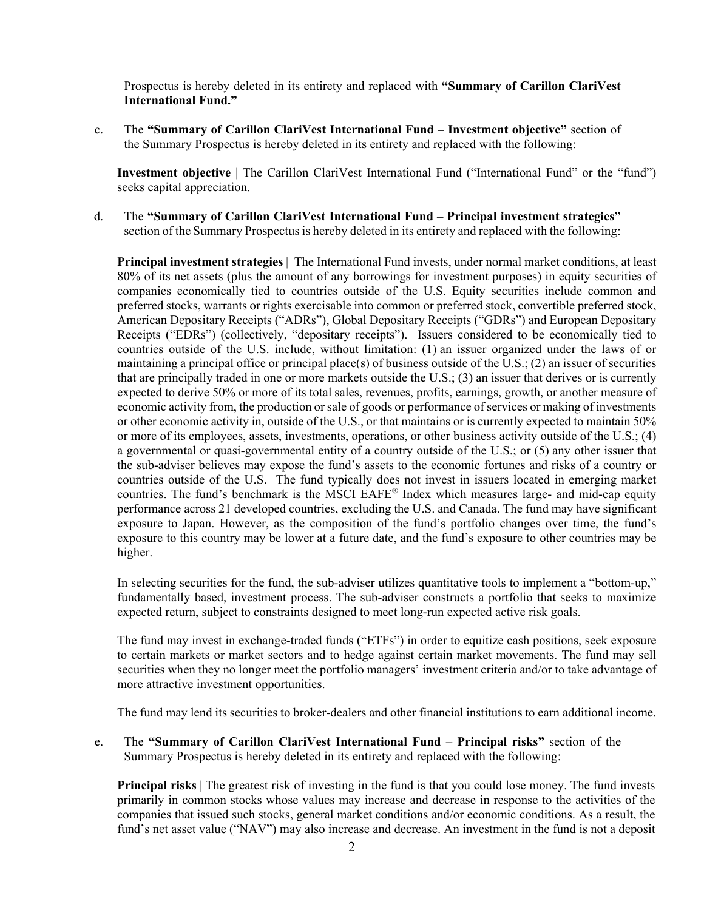Prospectus is hereby deleted in its entirety and replaced with **"Summary of Carillon ClariVest International Fund."**

c. The **"Summary of Carillon ClariVest International Fund – Investment objective"** section of the Summary Prospectus is hereby deleted in its entirety and replaced with the following:

**Investment objective** | The Carillon ClariVest International Fund ("International Fund" or the "fund") seeks capital appreciation.

d. The **"Summary of Carillon ClariVest International Fund – Principal investment strategies"**  section of the Summary Prospectus is hereby deleted in its entirety and replaced with the following:

**Principal investment strategies** | The International Fund invests, under normal market conditions, at least 80% of its net assets (plus the amount of any borrowings for investment purposes) in equity securities of companies economically tied to countries outside of the U.S. Equity securities include common and preferred stocks, warrants or rights exercisable into common or preferred stock, convertible preferred stock, American Depositary Receipts ("ADRs"), Global Depositary Receipts ("GDRs") and European Depositary Receipts ("EDRs") (collectively, "depositary receipts"). Issuers considered to be economically tied to countries outside of the U.S. include, without limitation: (1) an issuer organized under the laws of or maintaining a principal office or principal place(s) of business outside of the U.S.; (2) an issuer of securities that are principally traded in one or more markets outside the U.S.; (3) an issuer that derives or is currently expected to derive 50% or more of its total sales, revenues, profits, earnings, growth, or another measure of economic activity from, the production or sale of goods or performance of services or making of investments or other economic activity in, outside of the U.S., or that maintains or is currently expected to maintain 50% or more of its employees, assets, investments, operations, or other business activity outside of the U.S.; (4) a governmental or quasi-governmental entity of a country outside of the U.S.; or (5) any other issuer that the sub-adviser believes may expose the fund's assets to the economic fortunes and risks of a country or countries outside of the U.S. The fund typically does not invest in issuers located in emerging market countries. The fund's benchmark is the MSCI EAFE® Index which measures large- and mid-cap equity performance across 21 developed countries, excluding the U.S. and Canada. The fund may have significant exposure to Japan. However, as the composition of the fund's portfolio changes over time, the fund's exposure to this country may be lower at a future date, and the fund's exposure to other countries may be higher.

In selecting securities for the fund, the sub-adviser utilizes quantitative tools to implement a "bottom-up," fundamentally based, investment process. The sub-adviser constructs a portfolio that seeks to maximize expected return, subject to constraints designed to meet long-run expected active risk goals.

The fund may invest in exchange-traded funds ("ETFs") in order to equitize cash positions, seek exposure to certain markets or market sectors and to hedge against certain market movements. The fund may sell securities when they no longer meet the portfolio managers' investment criteria and/or to take advantage of more attractive investment opportunities.

The fund may lend its securities to broker-dealers and other financial institutions to earn additional income.

e. The **"Summary of Carillon ClariVest International Fund – Principal risks"** section of the Summary Prospectus is hereby deleted in its entirety and replaced with the following:

**Principal risks** The greatest risk of investing in the fund is that you could lose money. The fund invests primarily in common stocks whose values may increase and decrease in response to the activities of the companies that issued such stocks, general market conditions and/or economic conditions. As a result, the fund's net asset value ("NAV") may also increase and decrease. An investment in the fund is not a deposit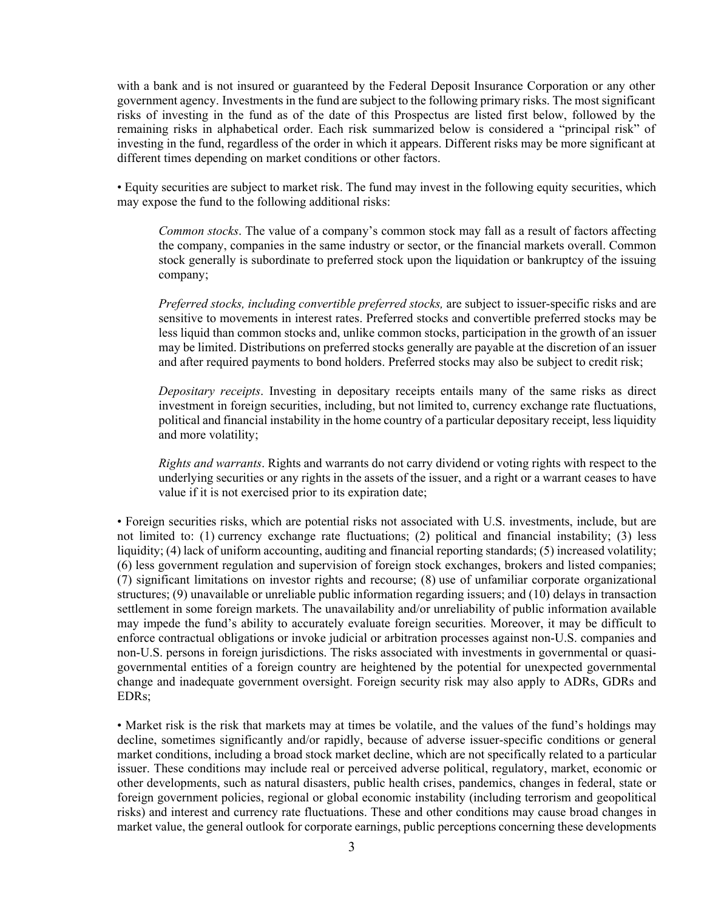with a bank and is not insured or guaranteed by the Federal Deposit Insurance Corporation or any other government agency. Investments in the fund are subject to the following primary risks. The most significant risks of investing in the fund as of the date of this Prospectus are listed first below, followed by the remaining risks in alphabetical order. Each risk summarized below is considered a "principal risk" of investing in the fund, regardless of the order in which it appears. Different risks may be more significant at different times depending on market conditions or other factors.

• Equity securities are subject to market risk. The fund may invest in the following equity securities, which may expose the fund to the following additional risks:

*Common stocks*. The value of a company's common stock may fall as a result of factors affecting the company, companies in the same industry or sector, or the financial markets overall. Common stock generally is subordinate to preferred stock upon the liquidation or bankruptcy of the issuing company;

*Preferred stocks, including convertible preferred stocks, are subject to issuer-specific risks and are* sensitive to movements in interest rates. Preferred stocks and convertible preferred stocks may be less liquid than common stocks and, unlike common stocks, participation in the growth of an issuer may be limited. Distributions on preferred stocks generally are payable at the discretion of an issuer and after required payments to bond holders. Preferred stocks may also be subject to credit risk;

*Depositary receipts*. Investing in depositary receipts entails many of the same risks as direct investment in foreign securities, including, but not limited to, currency exchange rate fluctuations, political and financial instability in the home country of a particular depositary receipt, less liquidity and more volatility;

*Rights and warrants*. Rights and warrants do not carry dividend or voting rights with respect to the underlying securities or any rights in the assets of the issuer, and a right or a warrant ceases to have value if it is not exercised prior to its expiration date;

• Foreign securities risks, which are potential risks not associated with U.S. investments, include, but are not limited to: (1) currency exchange rate fluctuations; (2) political and financial instability; (3) less liquidity; (4) lack of uniform accounting, auditing and financial reporting standards; (5) increased volatility; (6) less government regulation and supervision of foreign stock exchanges, brokers and listed companies; (7) significant limitations on investor rights and recourse; (8) use of unfamiliar corporate organizational structures; (9) unavailable or unreliable public information regarding issuers; and (10) delays in transaction settlement in some foreign markets. The unavailability and/or unreliability of public information available may impede the fund's ability to accurately evaluate foreign securities. Moreover, it may be difficult to enforce contractual obligations or invoke judicial or arbitration processes against non-U.S. companies and non-U.S. persons in foreign jurisdictions. The risks associated with investments in governmental or quasigovernmental entities of a foreign country are heightened by the potential for unexpected governmental change and inadequate government oversight. Foreign security risk may also apply to ADRs, GDRs and EDRs;

• Market risk is the risk that markets may at times be volatile, and the values of the fund's holdings may decline, sometimes significantly and/or rapidly, because of adverse issuer-specific conditions or general market conditions, including a broad stock market decline, which are not specifically related to a particular issuer. These conditions may include real or perceived adverse political, regulatory, market, economic or other developments, such as natural disasters, public health crises, pandemics, changes in federal, state or foreign government policies, regional or global economic instability (including terrorism and geopolitical risks) and interest and currency rate fluctuations. These and other conditions may cause broad changes in market value, the general outlook for corporate earnings, public perceptions concerning these developments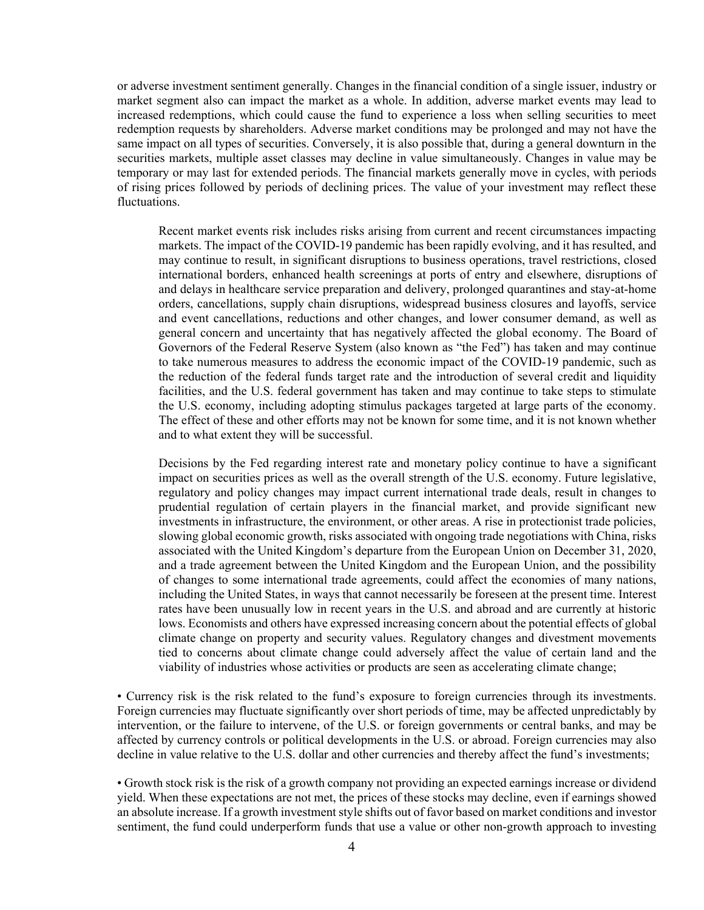or adverse investment sentiment generally. Changes in the financial condition of a single issuer, industry or market segment also can impact the market as a whole. In addition, adverse market events may lead to increased redemptions, which could cause the fund to experience a loss when selling securities to meet redemption requests by shareholders. Adverse market conditions may be prolonged and may not have the same impact on all types of securities. Conversely, it is also possible that, during a general downturn in the securities markets, multiple asset classes may decline in value simultaneously. Changes in value may be temporary or may last for extended periods. The financial markets generally move in cycles, with periods of rising prices followed by periods of declining prices. The value of your investment may reflect these fluctuations.

Recent market events risk includes risks arising from current and recent circumstances impacting markets. The impact of the COVID-19 pandemic has been rapidly evolving, and it has resulted, and may continue to result, in significant disruptions to business operations, travel restrictions, closed international borders, enhanced health screenings at ports of entry and elsewhere, disruptions of and delays in healthcare service preparation and delivery, prolonged quarantines and stay-at-home orders, cancellations, supply chain disruptions, widespread business closures and layoffs, service and event cancellations, reductions and other changes, and lower consumer demand, as well as general concern and uncertainty that has negatively affected the global economy. The Board of Governors of the Federal Reserve System (also known as "the Fed") has taken and may continue to take numerous measures to address the economic impact of the COVID-19 pandemic, such as the reduction of the federal funds target rate and the introduction of several credit and liquidity facilities, and the U.S. federal government has taken and may continue to take steps to stimulate the U.S. economy, including adopting stimulus packages targeted at large parts of the economy. The effect of these and other efforts may not be known for some time, and it is not known whether and to what extent they will be successful.

Decisions by the Fed regarding interest rate and monetary policy continue to have a significant impact on securities prices as well as the overall strength of the U.S. economy. Future legislative, regulatory and policy changes may impact current international trade deals, result in changes to prudential regulation of certain players in the financial market, and provide significant new investments in infrastructure, the environment, or other areas. A rise in protectionist trade policies, slowing global economic growth, risks associated with ongoing trade negotiations with China, risks associated with the United Kingdom's departure from the European Union on December 31, 2020, and a trade agreement between the United Kingdom and the European Union, and the possibility of changes to some international trade agreements, could affect the economies of many nations, including the United States, in ways that cannot necessarily be foreseen at the present time. Interest rates have been unusually low in recent years in the U.S. and abroad and are currently at historic lows. Economists and others have expressed increasing concern about the potential effects of global climate change on property and security values. Regulatory changes and divestment movements tied to concerns about climate change could adversely affect the value of certain land and the viability of industries whose activities or products are seen as accelerating climate change;

• Currency risk is the risk related to the fund's exposure to foreign currencies through its investments. Foreign currencies may fluctuate significantly over short periods of time, may be affected unpredictably by intervention, or the failure to intervene, of the U.S. or foreign governments or central banks, and may be affected by currency controls or political developments in the U.S. or abroad. Foreign currencies may also decline in value relative to the U.S. dollar and other currencies and thereby affect the fund's investments;

• Growth stock risk is the risk of a growth company not providing an expected earnings increase or dividend yield. When these expectations are not met, the prices of these stocks may decline, even if earnings showed an absolute increase. If a growth investment style shifts out of favor based on market conditions and investor sentiment, the fund could underperform funds that use a value or other non-growth approach to investing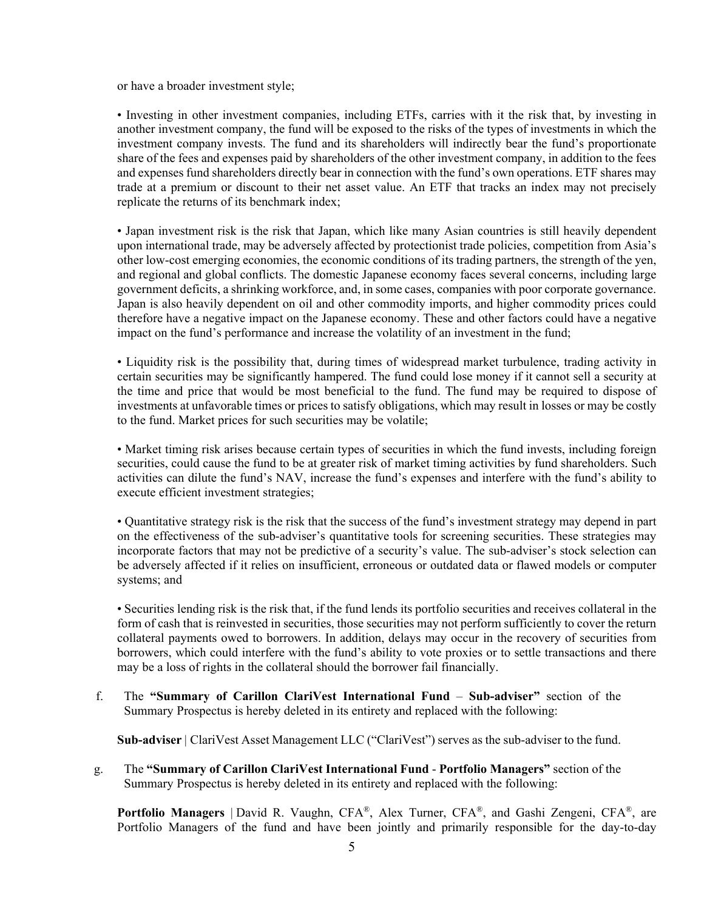or have a broader investment style;

• Investing in other investment companies, including ETFs, carries with it the risk that, by investing in another investment company, the fund will be exposed to the risks of the types of investments in which the investment company invests. The fund and its shareholders will indirectly bear the fund's proportionate share of the fees and expenses paid by shareholders of the other investment company, in addition to the fees and expenses fund shareholders directly bear in connection with the fund's own operations. ETF shares may trade at a premium or discount to their net asset value. An ETF that tracks an index may not precisely replicate the returns of its benchmark index;

• Japan investment risk is the risk that Japan, which like many Asian countries is still heavily dependent upon international trade, may be adversely affected by protectionist trade policies, competition from Asia's other low-cost emerging economies, the economic conditions of its trading partners, the strength of the yen, and regional and global conflicts. The domestic Japanese economy faces several concerns, including large government deficits, a shrinking workforce, and, in some cases, companies with poor corporate governance. Japan is also heavily dependent on oil and other commodity imports, and higher commodity prices could therefore have a negative impact on the Japanese economy. These and other factors could have a negative impact on the fund's performance and increase the volatility of an investment in the fund;

• Liquidity risk is the possibility that, during times of widespread market turbulence, trading activity in certain securities may be significantly hampered. The fund could lose money if it cannot sell a security at the time and price that would be most beneficial to the fund. The fund may be required to dispose of investments at unfavorable times or prices to satisfy obligations, which may result in losses or may be costly to the fund. Market prices for such securities may be volatile;

• Market timing risk arises because certain types of securities in which the fund invests, including foreign securities, could cause the fund to be at greater risk of market timing activities by fund shareholders. Such activities can dilute the fund's NAV, increase the fund's expenses and interfere with the fund's ability to execute efficient investment strategies;

• Quantitative strategy risk is the risk that the success of the fund's investment strategy may depend in part on the effectiveness of the sub-adviser's quantitative tools for screening securities. These strategies may incorporate factors that may not be predictive of a security's value. The sub-adviser's stock selection can be adversely affected if it relies on insufficient, erroneous or outdated data or flawed models or computer systems; and

• Securities lending risk is the risk that, if the fund lends its portfolio securities and receives collateral in the form of cash that is reinvested in securities, those securities may not perform sufficiently to cover the return collateral payments owed to borrowers. In addition, delays may occur in the recovery of securities from borrowers, which could interfere with the fund's ability to vote proxies or to settle transactions and there may be a loss of rights in the collateral should the borrower fail financially.

f. The **"Summary of Carillon ClariVest International Fund** – **Sub-adviser"** section of the Summary Prospectus is hereby deleted in its entirety and replaced with the following:

Sub-adviser | ClariVest Asset Management LLC ("ClariVest") serves as the sub-adviser to the fund.

g. The **"Summary of Carillon ClariVest International Fund** - **Portfolio Managers"** section of the Summary Prospectus is hereby deleted in its entirety and replaced with the following:

**Portfolio Managers** | David R. Vaughn, CFA®, Alex Turner, CFA®, and Gashi Zengeni, CFA®, are Portfolio Managers of the fund and have been jointly and primarily responsible for the day-to-day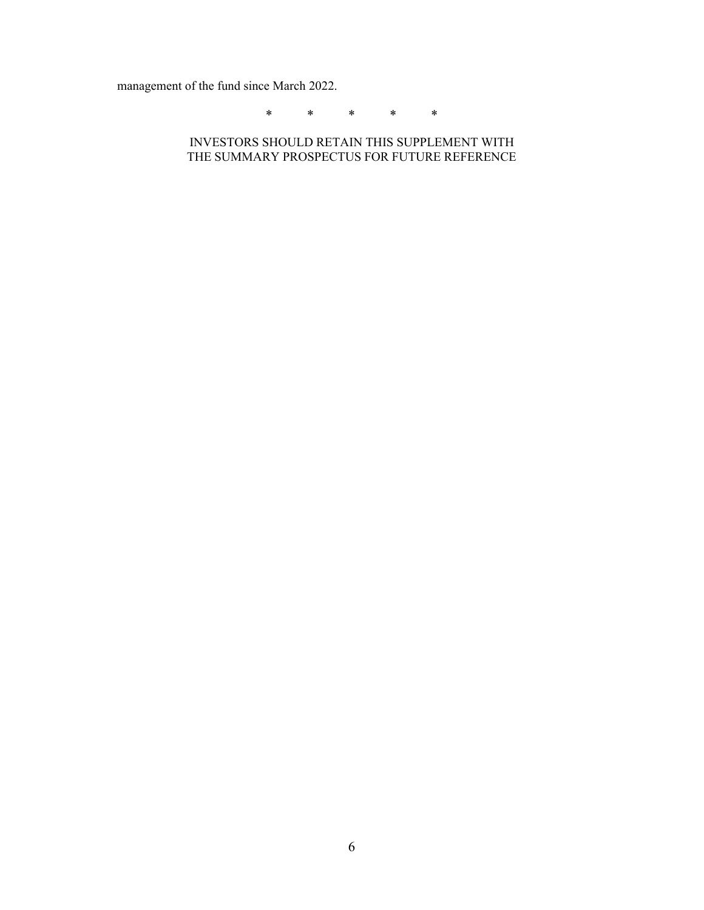management of the fund since March 2022.

\* \* \* \* \*

INVESTORS SHOULD RETAIN THIS SUPPLEMENT WITH THE SUMMARY PROSPECTUS FOR FUTURE REFERENCE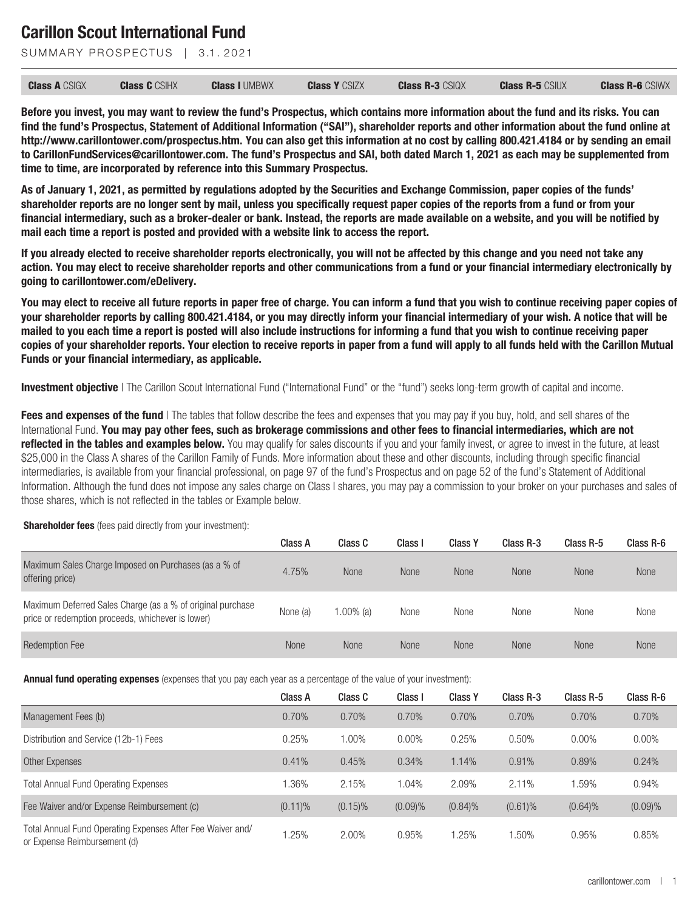SUMMARY PROSPECTUS | 3.1, 2021

| <b>Class A CSIGX</b> | <b>Class C</b> CSIHX | <b>Class I UMBWX</b> | <b>Class Y CSIZX</b> | <b>Class R-3 CSIQX</b> | <b>Class R-5 CSIUX</b> | <b>Class R-6 CSIWX</b> |
|----------------------|----------------------|----------------------|----------------------|------------------------|------------------------|------------------------|
|----------------------|----------------------|----------------------|----------------------|------------------------|------------------------|------------------------|

**Before you invest, you may want to review the fund's Prospectus, which contains more information about the fund and its risks. You can find the fund's Prospectus, Statement of Additional Information ("SAI"), shareholder reports and other information about the fund online at http://www.carillontower.com/prospectus.htm. You can also get this information at no cost by calling 800.421.4184 or by sending an email to CarillonFundServices@carillontower.com. The fund's Prospectus and SAI, both dated March 1, 2021 as each may be supplemented from time to time, are incorporated by reference into this Summary Prospectus.**

**As of January 1, 2021, as permitted by regulations adopted by the Securities and Exchange Commission, paper copies of the funds' shareholder reports are no longer sent by mail, unless you specifically request paper copies of the reports from a fund or from your financial intermediary, such as a broker-dealer or bank. Instead, the reports are made available on a website, and you will be notified by mail each time a report is posted and provided with a website link to access the report.**

**If you already elected to receive shareholder reports electronically, you will not be affected by this change and you need not take any action. You may elect to receive shareholder reports and other communications from a fund or your financial intermediary electronically by going to carillontower.com/eDelivery.**

**You may elect to receive all future reports in paper free of charge. You can inform a fund that you wish to continue receiving paper copies of your shareholder reports by calling 800.421.4184, or you may directly inform your financial intermediary of your wish. A notice that will be mailed to you each time a report is posted will also include instructions for informing a fund that you wish to continue receiving paper copies of your shareholder reports. Your election to receive reports in paper from a fund will apply to all funds held with the Carillon Mutual Funds or your financial intermediary, as applicable.**

**Investment objective** I The Carillon Scout International Fund ("International Fund" or the "fund") seeks long-term growth of capital and income.

**Fees and expenses of the fund** I The tables that follow describe the fees and expenses that you may pay if you buy, hold, and sell shares of the International Fund. **You may pay other fees, such as brokerage commissions and other fees to financial intermediaries, which are not reflected in the tables and examples below.** You may qualify for sales discounts if you and your family invest, or agree to invest in the future, at least \$25,000 in the Class A shares of the Carillon Family of Funds. More information about these and other discounts, including through specific financial intermediaries, is available from your financial professional, on page 97 of the fund's Prospectus and on page 52 of the fund's Statement of Additional Information. Although the fund does not impose any sales charge on Class I shares, you may pay a commission to your broker on your purchases and sales of those shares, which is not reflected in the tables or Example below.

#### **Shareholder fees** (fees paid directly from your investment):

|                                                                                                                 | Class A  | Class C      | Class I     | <b>Class Y</b> | Class R-3   | Class R-5   | Class R-6   |
|-----------------------------------------------------------------------------------------------------------------|----------|--------------|-------------|----------------|-------------|-------------|-------------|
| Maximum Sales Charge Imposed on Purchases (as a % of<br>offering price)                                         | 4.75%    | <b>None</b>  | <b>None</b> | <b>None</b>    | <b>None</b> | <b>None</b> | <b>None</b> |
| Maximum Deferred Sales Charge (as a % of original purchase<br>price or redemption proceeds, whichever is lower) | None (a) | $1.00\%$ (a) | None        | None           | None        | None        | None        |
| <b>Redemption Fee</b>                                                                                           | None     | None         | <b>None</b> | <b>None</b>    | <b>None</b> | <b>None</b> | <b>None</b> |

**Annual fund operating expenses** (expenses that you pay each year as a percentage of the value of your investment):

|                                                                                            | Class A    | Class C    | Class I | <b>Class Y</b> | Class R-3  | Class R-5 | Class R-6 |
|--------------------------------------------------------------------------------------------|------------|------------|---------|----------------|------------|-----------|-----------|
| Management Fees (b)                                                                        | 0.70%      | 0.70%      | 0.70%   | 0.70%          | 0.70%      | 0.70%     | 0.70%     |
| Distribution and Service (12b-1) Fees                                                      | 0.25%      | 1.00%      | 0.00%   | 0.25%          | 0.50%      | $0.00\%$  | $0.00\%$  |
| Other Expenses                                                                             | 0.41%      | 0.45%      | 0.34%   | 1.14%          | 0.91%      | 0.89%     | 0.24%     |
| <b>Total Annual Fund Operating Expenses</b>                                                | 1.36%      | 2.15%      | 1.04%   | 2.09%          | 2.11%      | 1.59%     | 0.94%     |
| Fee Waiver and/or Expense Reimbursement (c)                                                | $(0.11)\%$ | $(0.15)\%$ | (0.09)% | $(0.84)\%$     | $(0.61)\%$ | (0.64)%   | (0.09)%   |
| Total Annual Fund Operating Expenses After Fee Waiver and/<br>or Expense Reimbursement (d) | 1.25%      | 2.00%      | 0.95%   | 1.25%          | 1.50%      | 0.95%     | 0.85%     |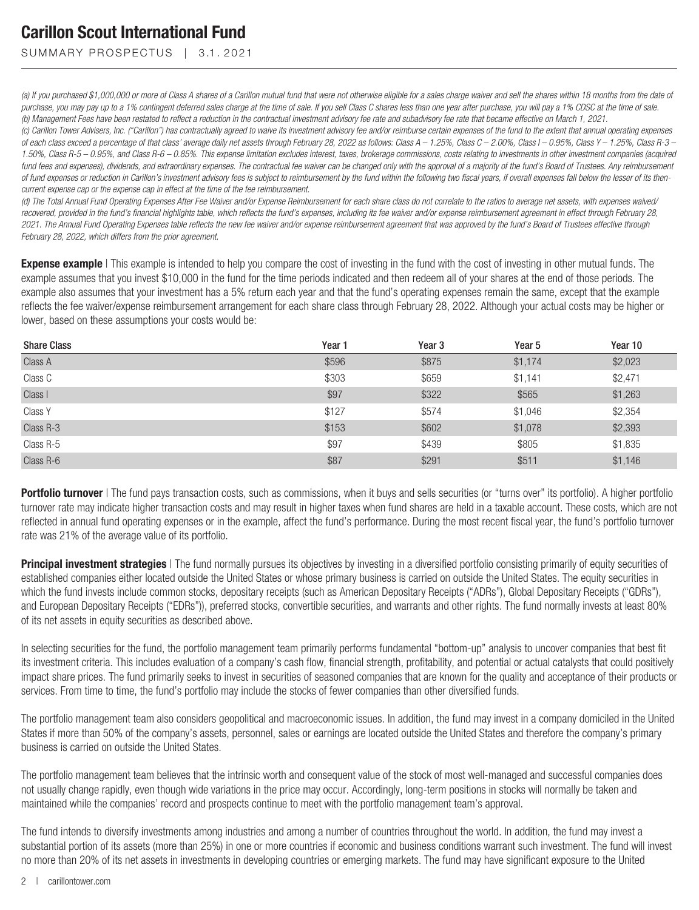SUMMARY PROSPECTUS | 3.1.2021

*(a) If you purchased \$1,000,000 or more of Class A shares of a Carillon mutual fund that were not otherwise eligible for a sales charge waiver and sell the shares within 18 months from the date of purchase, you may pay up to a 1% contingent deferred sales charge at the time of sale. If you sell Class C shares less than one year after purchase, you will pay a 1% CDSC at the time of sale. (b) Management Fees have been restated to reflect a reduction in the contractual investment advisory fee rate and subadvisory fee rate that became effective on March 1, 2021.*

*(c) Carillon Tower Advisers, Inc. ("Carillon") has contractually agreed to waive its investment advisory fee and/or reimburse certain expenses of the fund to the extent that annual operating expenses of each class exceed a percentage of that class' average daily net assets through February 28, 2022 as follows: Class A – 1.25%, Class C – 2.00%, Class I – 0.95%, Class Y – 1.25%, Class R-3 – 1.50%, Class R-5 – 0.95%, and Class R-6 – 0.85%. This expense limitation excludes interest, taxes, brokerage commissions, costs relating to investments in other investment companies (acquired fund fees and expenses), dividends, and extraordinary expenses. The contractual fee waiver can be changed only with the approval of a majority of the fund's Board of Trustees. Any reimbursement* of fund expenses or reduction in Carillon's investment advisory fees is subject to reimbursement by the fund within the following two fiscal years, if overall expenses fall below the lesser of its then*current expense cap or the expense cap in effect at the time of the fee reimbursement.*

*(d) The Total Annual Fund Operating Expenses After Fee Waiver and/or Expense Reimbursement for each share class do not correlate to the ratios to average net assets, with expenses waived/ recovered, provided in the fund's financial highlights table, which reflects the fund's expenses, including its fee waiver and/or expense reimbursement agreement in effect through February 28, 2021. The Annual Fund Operating Expenses table reflects the new fee waiver and/or expense reimbursement agreement that was approved by the fund's Board of Trustees effective through February 28, 2022, which differs from the prior agreement.*

**Expense example** | This example is intended to help you compare the cost of investing in the fund with the cost of investing in other mutual funds. The example assumes that you invest \$10,000 in the fund for the time periods indicated and then redeem all of your shares at the end of those periods. The example also assumes that your investment has a 5% return each year and that the fund's operating expenses remain the same, except that the example reflects the fee waiver/expense reimbursement arrangement for each share class through February 28, 2022. Although your actual costs may be higher or lower, based on these assumptions your costs would be:

| <b>Share Class</b> | Year 1 | Year <sub>3</sub> | Year <sub>5</sub> | Year 10 |
|--------------------|--------|-------------------|-------------------|---------|
| Class A            | \$596  | \$875             | \$1,174           | \$2,023 |
| Class C            | \$303  | \$659             | \$1,141           | \$2,471 |
| Class I            | \$97   | \$322             | \$565             | \$1,263 |
| Class Y            | \$127  | \$574             | \$1,046           | \$2,354 |
| Class R-3          | \$153  | \$602             | \$1,078           | \$2,393 |
| Class R-5          | \$97   | \$439             | \$805             | \$1,835 |
| Class R-6          | \$87   | \$291             | \$511             | \$1,146 |

Portfolio turnover I The fund pays transaction costs, such as commissions, when it buys and sells securities (or "turns over" its portfolio). A higher portfolio turnover rate may indicate higher transaction costs and may result in higher taxes when fund shares are held in a taxable account. These costs, which are not reflected in annual fund operating expenses or in the example, affect the fund's performance. During the most recent fiscal year, the fund's portfolio turnover rate was 21% of the average value of its portfolio.

**Principal investment strategies** I The fund normally pursues its objectives by investing in a diversified portfolio consisting primarily of equity securities of established companies either located outside the United States or whose primary business is carried on outside the United States. The equity securities in which the fund invests include common stocks, depositary receipts (such as American Depositary Receipts ("ADRs"), Global Depositary Receipts ("GDRs"), and European Depositary Receipts ("EDRs")), preferred stocks, convertible securities, and warrants and other rights. The fund normally invests at least 80% of its net assets in equity securities as described above.

In selecting securities for the fund, the portfolio management team primarily performs fundamental "bottom-up" analysis to uncover companies that best fit its investment criteria. This includes evaluation of a company's cash flow, financial strength, profitability, and potential or actual catalysts that could positively impact share prices. The fund primarily seeks to invest in securities of seasoned companies that are known for the quality and acceptance of their products or services. From time to time, the fund's portfolio may include the stocks of fewer companies than other diversified funds.

The portfolio management team also considers geopolitical and macroeconomic issues. In addition, the fund may invest in a company domiciled in the United States if more than 50% of the company's assets, personnel, sales or earnings are located outside the United States and therefore the company's primary business is carried on outside the United States.

The portfolio management team believes that the intrinsic worth and consequent value of the stock of most well-managed and successful companies does not usually change rapidly, even though wide variations in the price may occur. Accordingly, long-term positions in stocks will normally be taken and maintained while the companies' record and prospects continue to meet with the portfolio management team's approval.

The fund intends to diversify investments among industries and among a number of countries throughout the world. In addition, the fund may invest a substantial portion of its assets (more than 25%) in one or more countries if economic and business conditions warrant such investment. The fund will invest no more than 20% of its net assets in investments in developing countries or emerging markets. The fund may have significant exposure to the United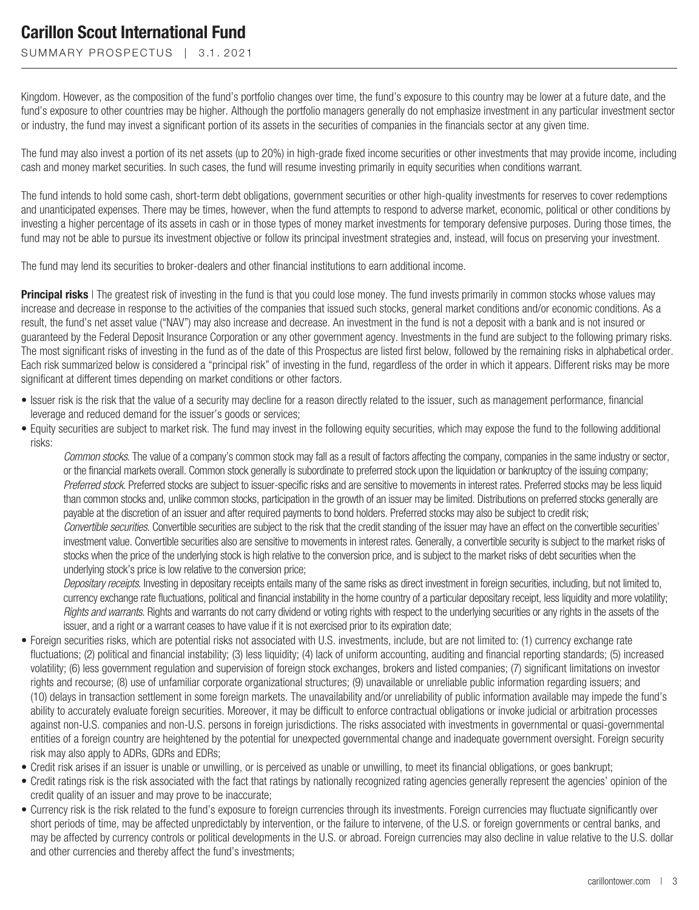SUMMARY PROSPECTUS | 3.1.2021

Kingdom. However, as the composition of the fund's portfolio changes over time, the fund's exposure to this country may be lower at a future date, and the fund's exposure to other countries may be higher. Although the portfolio managers generally do not emphasize investment in any particular investment sector or industry, the fund may invest a significant portion of its assets in the securities of companies in the financials sector at any given time.

The fund may also invest a portion of its net assets (up to 20%) in high-grade fixed income securities or other investments that may provide income, including cash and money market securities. In such cases, the fund will resume investing primarily in equity securities when conditions warrant.

The fund intends to hold some cash, short-term debt obligations, government securities or other high-quality investments for reserves to cover redemptions and unanticipated expenses. There may be times, however, when the fund attempts to respond to adverse market, economic, political or other conditions by investing a higher percentage of its assets in cash or in those types of money market investments for temporary defensive purposes. During those times, the fund may not be able to pursue its investment objective or follow its principal investment strategies and, instead, will focus on preserving your investment.

The fund may lend its securities to broker-dealers and other financial institutions to earn additional income.

**Principal risks** | The greatest risk of investing in the fund is that you could lose money. The fund invests primarily in common stocks whose values may increase and decrease in response to the activities of the companies that issued such stocks, general market conditions and/or economic conditions. As a result, the fund's net asset value ("NAV") may also increase and decrease. An investment in the fund is not a deposit with a bank and is not insured or guaranteed by the Federal Deposit Insurance Corporation or any other government agency. Investments in the fund are subject to the following primary risks. The most significant risks of investing in the fund as of the date of this Prospectus are listed first below, followed by the remaining risks in alphabetical order. Each risk summarized below is considered a "principal risk" of investing in the fund, regardless of the order in which it appears. Different risks may be more significant at different times depending on market conditions or other factors.

- Issuer risk is the risk that the value of a security may decline for a reason directly related to the issuer, such as management performance, financial leverage and reduced demand for the issuer's goods or services;
- Equity securities are subject to market risk. The fund may invest in the following equity securities, which may expose the fund to the following additional risks:

*Common stocks*. The value of a company's common stock may fall as a result of factors affecting the company, companies in the same industry or sector, or the financial markets overall. Common stock generally is subordinate to preferred stock upon the liquidation or bankruptcy of the issuing company; *Preferred stock*. Preferred stocks are subject to issuer-specific risks and are sensitive to movements in interest rates. Preferred stocks may be less liquid than common stocks and, unlike common stocks, participation in the growth of an issuer may be limited. Distributions on preferred stocks generally are payable at the discretion of an issuer and after required payments to bond holders. Preferred stocks may also be subject to credit risk; *Convertible securities*. Convertible securities are subject to the risk that the credit standing of the issuer may have an effect on the convertible securities'

investment value. Convertible securities also are sensitive to movementsin interest rates. Generally, a convertible security is subject to the market risks of stocks when the price of the underlying stock is high relative to the conversion price, and is subject to the market risks of debt securities when the underlying stock's price is low relative to the conversion price;

*Depositary receipts*. Investing in depositary receipts entails many of the same risks as direct investment in foreign securities, including, but not limited to, currency exchange rate fluctuations, political and financial instability in the home country of a particular depositary receipt, less liquidity and more volatility; *Rights and warrants*. Rights and warrants do not carry dividend or voting rights with respect to the underlying securities or any rights in the assets of the issuer, and a right or a warrant ceases to have value if it is not exercised prior to its expiration date;

- Foreign securities risks, which are potential risks not associated with U.S. investments, include, but are not limited to: (1) currency exchange rate fluctuations; (2) political and financial instability; (3) less liquidity; (4) lack of uniform accounting, auditing and financial reporting standards; (5) increased volatility; (6) less government regulation and supervision of foreign stock exchanges, brokers and listed companies; (7) significant limitations on investor rights and recourse; (8) use of unfamiliar corporate organizational structures; (9) unavailable or unreliable public information regarding issuers; and (10) delays in transaction settlement in some foreign markets. The unavailability and/or unreliability of public information available may impede the fund's ability to accurately evaluate foreign securities. Moreover, it may be difficult to enforce contractual obligations or invoke judicial or arbitration processes against non-U.S. companies and non-U.S. persons in foreign jurisdictions. The risks associated with investments in governmental or quasi-governmental entities of a foreign country are heightened by the potential for unexpected governmental change and inadequate government oversight. Foreign security risk may also apply to ADRs, GDRs and EDRs;
- Credit risk arises if an issuer is unable or unwilling, or is perceived as unable or unwilling, to meet its financial obligations, or goes bankrupt;
- Credit ratings risk is the risk associated with the fact that ratings by nationally recognized rating agencies generally represent the agencies' opinion of the credit quality of an issuer and may prove to be inaccurate;
- Currency risk is the risk related to the fund's exposure to foreign currencies through its investments. Foreign currencies may fluctuate significantly over short periods of time, may be affected unpredictably by intervention, or the failure to intervene, of the U.S. or foreign governments or central banks, and may be affected by currency controls or political developments in the U.S. or abroad. Foreign currencies may also decline in value relative to the U.S. dollar and other currencies and thereby affect the fund's investments;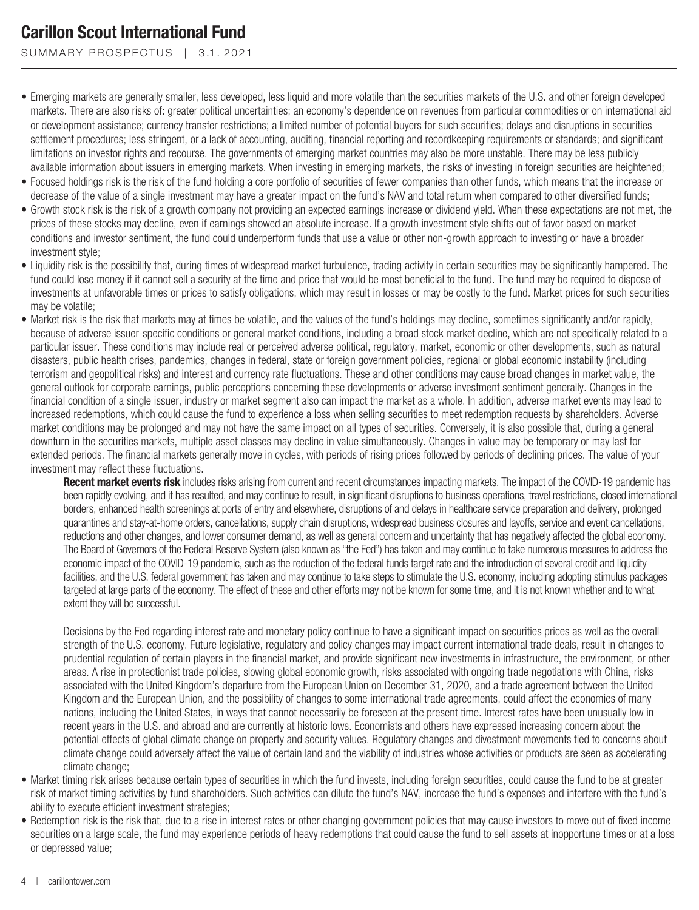SUMMARY PROSPECTUS | 3.1.2021

- Emerging markets are generally smaller, less developed, less liquid and more volatile than the securities markets of the U.S. and other foreign developed markets. There are also risks of: greater political uncertainties; an economy's dependence on revenues from particular commodities or on international aid or development assistance; currency transfer restrictions; a limited number of potential buyers for such securities; delays and disruptions in securities settlement procedures; less stringent, or a lack of accounting, auditing, financial reporting and recordkeeping requirements or standards; and significant limitations on investor rights and recourse. The governments of emerging market countries may also be more unstable. There may be less publicly available information about issuers in emerging markets. When investing in emerging markets, the risks of investing in foreign securities are heightened;
- Focused holdings risk is the risk of the fund holding a core portfolio of securities of fewer companies than other funds, which means that the increase or decrease of the value of a single investment may have a greater impact on the fund's NAV and total return when compared to other diversified funds;
- Growth stock risk is the risk of a growth company not providing an expected earnings increase or dividend yield. When these expectations are not met, the prices of these stocks may decline, even if earnings showed an absolute increase. If a growth investment style shifts out of favor based on market conditions and investor sentiment, the fund could underperform funds that use a value or other non-growth approach to investing or have a broader investment style;
- Liquidity risk is the possibility that, during times of widespread market turbulence, trading activity in certain securities may be significantly hampered. The fund could lose money if it cannot sell a security at the time and price that would be most beneficial to the fund. The fund may be required to dispose of investments at unfavorable times or prices to satisfy obligations, which may result in losses or may be costly to the fund. Market prices for such securities may be volatile;
- Market risk is the risk that markets may at times be volatile, and the values of the fund's holdings may decline, sometimes significantly and/or rapidly, because of adverse issuer-specific conditions or general market conditions, including a broad stock market decline, which are not specifically related to a particular issuer. These conditions may include real or perceived adverse political, regulatory, market, economic or other developments, such as natural disasters, public health crises, pandemics, changes in federal, state or foreign government policies, regional or global economic instability (including terrorism and geopolitical risks) and interest and currency rate fluctuations. These and other conditions may cause broad changes in market value, the general outlook for corporate earnings, public perceptions concerning these developments or adverse investment sentiment generally. Changes in the financial condition of a single issuer, industry or market segment also can impact the market as a whole. In addition, adverse market events may lead to increased redemptions, which could cause the fund to experience a loss when selling securities to meet redemption requests by shareholders. Adverse market conditions may be prolonged and may not have the same impact on all types of securities. Conversely, it is also possible that, during a general downturn in the securities markets, multiple asset classes may decline in value simultaneously. Changes in value may be temporary or may last for extended periods. The financial markets generally move in cycles, with periods of rising prices followed by periods of declining prices. The value of your investment may reflect these fluctuations.

**Recent market events risk** includes risks arising from current and recent circumstances impacting markets. The impact of the COVID-19 pandemic has been rapidly evolving, and it has resulted, and may continue to result, in significant disruptions to business operations, travel restrictions, closed international borders, enhanced health screenings at ports of entry and elsewhere, disruptions of and delays in healthcare service preparation and delivery, prolonged quarantines and stay-at-home orders, cancellations, supply chain disruptions, widespread business closures and layoffs, service and event cancellations, reductions and other changes, and lower consumer demand, as well as general concern and uncertainty that has negatively affected the global economy. The Board of Governors of the Federal Reserve System (also known as "the Fed") has taken and may continue to take numerous measures to address the economic impact of the COVID-19 pandemic, such as the reduction of the federal funds target rate and the introduction of several credit and liquidity facilities, and the U.S. federal government has taken and may continue to take steps to stimulate the U.S. economy, including adopting stimulus packages targeted at large parts of the economy. The effect of these and other efforts may not be known for some time, and it is not known whether and to what extent they will be successful.

Decisions by the Fed regarding interest rate and monetary policy continue to have a significant impact on securities prices as well as the overall strength of the U.S. economy. Future legislative, regulatory and policy changes may impact current international trade deals, result in changes to prudential regulation of certain players in the financial market, and provide significant new investments in infrastructure, the environment, or other areas. A rise in protectionist trade policies, slowing global economic growth, risks associated with ongoing trade negotiations with China, risks associated with the United Kingdom's departure from the European Union on December 31, 2020, and a trade agreement between the United Kingdom and the European Union, and the possibility of changes to some international trade agreements, could affect the economies of many nations, including the United States, in ways that cannot necessarily be foreseen at the present time. Interest rates have been unusually low in recent years in the U.S. and abroad and are currently at historic lows. Economists and others have expressed increasing concern about the potential effects of global climate change on property and security values. Regulatory changes and divestment movements tied to concerns about climate change could adversely affect the value of certain land and the viability of industries whose activities or products are seen as accelerating climate change;

- Market timing risk arises because certain types of securities in which the fund invests, including foreign securities, could cause the fund to be at greater risk of market timing activities by fund shareholders. Such activities can dilute the fund's NAV, increase the fund's expenses and interfere with the fund's ability to execute efficient investment strategies;
- Redemption risk is the risk that, due to a rise in interest rates or other changing government policies that may cause investors to move out of fixed income securities on a large scale, the fund may experience periods of heavy redemptions that could cause the fund to sell assets at inopportune times or at a loss or depressed value;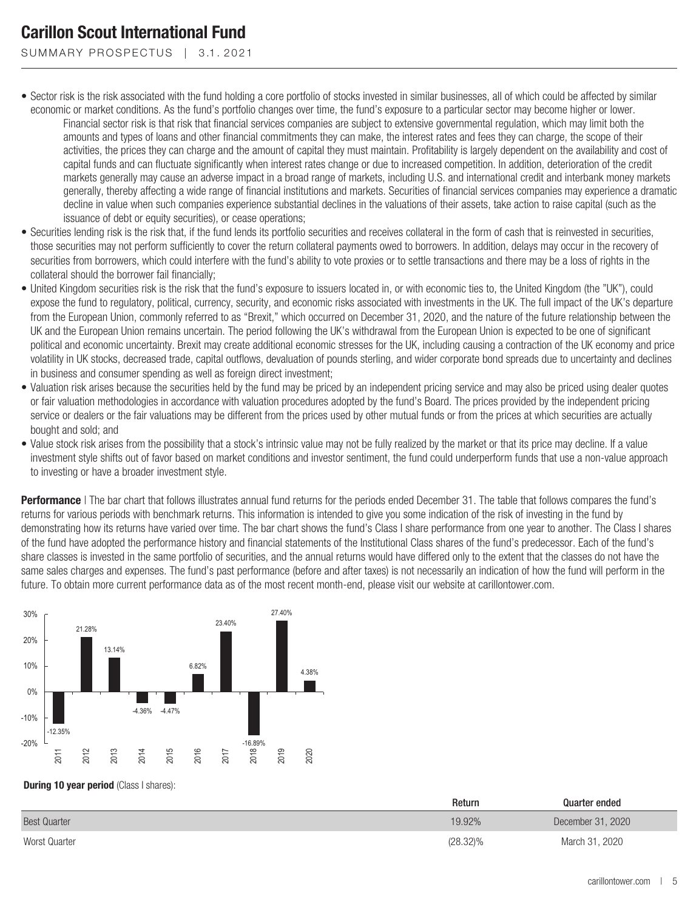SUMMARY PROSPECTUS | 3.1.2021

- Sector risk is the risk associated with the fund holding a core portfolio of stocks invested in similar businesses, all of which could be affected by similar economic or market conditions. As the fund's portfolio changes over time, the fund's exposure to a particular sector may become higher or lower.
	- Financial sector risk is that risk that financial services companies are subject to extensive governmental regulation, which may limit both the amounts and types of loans and other financial commitments they can make, the interest rates and fees they can charge, the scope of their activities, the prices they can charge and the amount of capital they must maintain. Profitability is largely dependent on the availability and cost of capital funds and can fluctuate significantly when interest rates change or due to increased competition. In addition, deterioration of the credit markets generally may cause an adverse impact in a broad range of markets, including U.S. and international credit and interbank money markets generally, thereby affecting a wide range of financial institutions and markets. Securities of financial services companies may experience a dramatic decline in value when such companies experience substantial declines in the valuations of their assets, take action to raise capital (such as the issuance of debt or equity securities), or cease operations;
- Securities lending risk is the risk that, if the fund lends its portfolio securities and receives collateral in the form of cash that is reinvested in securities, those securities may not perform sufficiently to cover the return collateral payments owed to borrowers. In addition, delays may occur in the recovery of securities from borrowers, which could interfere with the fund's ability to vote proxies or to settle transactions and there may be a loss of rights in the collateral should the borrower fail financially;
- United Kingdom securities risk is the risk that the fund's exposure to issuers located in, or with economic ties to, the United Kingdom (the "UK"), could expose the fund to regulatory, political, currency, security, and economic risks associated with investments in the UK. The full impact of the UK's departure from the European Union, commonly referred to as "Brexit," which occurred on December 31, 2020, and the nature of the future relationship between the UK and the European Union remains uncertain. The period following the UK's withdrawal from the European Union is expected to be one of significant political and economic uncertainty. Brexit may create additional economic stresses for the UK, including causing a contraction of the UK economy and price volatility in UK stocks, decreased trade, capital outflows, devaluation of pounds sterling, and wider corporate bond spreads due to uncertainty and declines in business and consumer spending as well as foreign direct investment;
- Valuation risk arises because the securities held by the fund may be priced by an independent pricing service and may also be priced using dealer quotes or fair valuation methodologies in accordance with valuation procedures adopted by the fund's Board. The prices provided by the independent pricing service or dealers or the fair valuations may be different from the prices used by other mutual funds or from the prices at which securities are actually bought and sold; and
- Value stock risk arises from the possibility that a stock's intrinsic value may not be fully realized by the market or that its price may decline. If a value investment style shifts out of favor based on market conditions and investor sentiment, the fund could underperform funds that use a non-value approach to investing or have a broader investment style.

**Performance** | The bar chart that follows illustrates annual fund returns for the periods ended December 31. The table that follows compares the fund's returns for various periods with benchmark returns. This information is intended to give you some indication of the risk of investing in the fund by demonstrating how its returns have varied over time. The bar chart shows the fund's Class I share performance from one year to another. The Class I shares of the fund have adopted the performance history and financial statements of the Institutional Class shares of the fund's predecessor. Each of the fund's share classes is invested in the same portfolio of securities, and the annual returns would have differed only to the extent that the classes do not have the same sales charges and expenses. The fund's past performance (before and after taxes) is not necessarily an indication of how the fund will perform in the future. To obtain more current performance data as of the most recent month-end, please visit our website at carillontower.com.



#### **During 10 year period** (Class I shares):

|                     | Return      | Quarter ended     |
|---------------------|-------------|-------------------|
| <b>Best Quarter</b> | 19.92%      | December 31, 2020 |
| Worst Quarter       | $(28.32)\%$ | March 31, 2020    |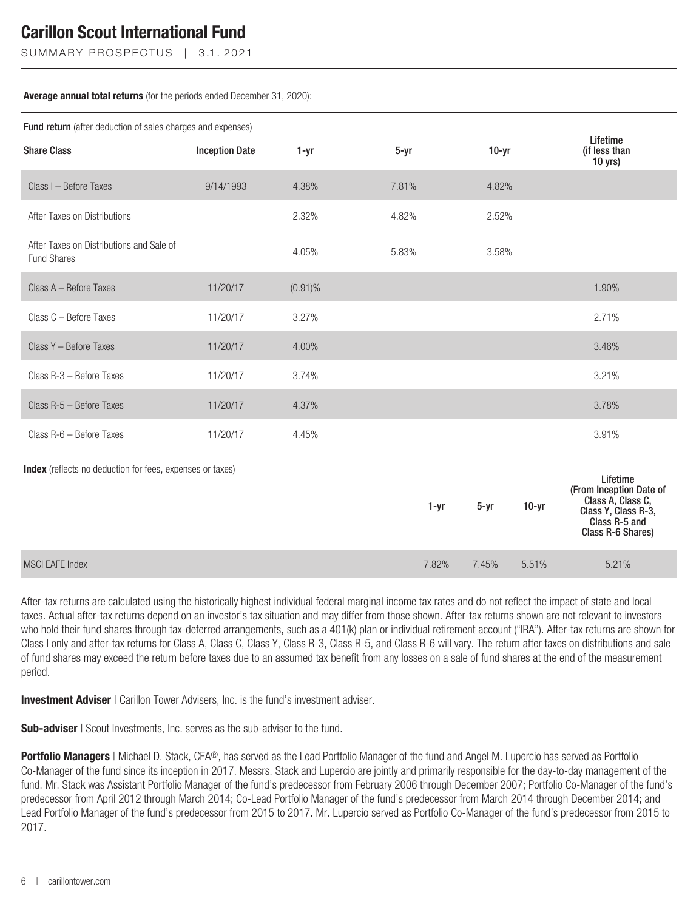SUMMARY PROSPECTUS | 3.1.2021

#### **Average annual total returns** (for the periods ended December 31, 2020):

| <b>Fund return</b> (after deduction of sales charges and expenses) |                       |            |          |       |          |         |                                                                                                                       |
|--------------------------------------------------------------------|-----------------------|------------|----------|-------|----------|---------|-----------------------------------------------------------------------------------------------------------------------|
| <b>Share Class</b>                                                 | <b>Inception Date</b> | 1-yr       | $5 - yr$ |       | $10-yr$  |         | Lifetime<br>(if less than<br>$10$ yrs)                                                                                |
| Class I - Before Taxes                                             | 9/14/1993             | 4.38%      | 7.81%    |       | 4.82%    |         |                                                                                                                       |
| After Taxes on Distributions                                       |                       | 2.32%      | 4.82%    |       | 2.52%    |         |                                                                                                                       |
| After Taxes on Distributions and Sale of<br><b>Fund Shares</b>     |                       | 4.05%      | 5.83%    |       | 3.58%    |         |                                                                                                                       |
| Class A - Before Taxes                                             | 11/20/17              | $(0.91)\%$ |          |       |          |         | 1.90%                                                                                                                 |
| Class C - Before Taxes                                             | 11/20/17              | 3.27%      |          |       |          |         | 2.71%                                                                                                                 |
| Class Y - Before Taxes                                             | 11/20/17              | 4.00%      |          |       |          |         | 3.46%                                                                                                                 |
| Class R-3 - Before Taxes                                           | 11/20/17              | 3.74%      |          |       |          |         | 3.21%                                                                                                                 |
| Class R-5 - Before Taxes                                           | 11/20/17              | 4.37%      |          |       |          |         | 3.78%                                                                                                                 |
| Class R-6 - Before Taxes                                           | 11/20/17              | 4.45%      |          |       |          |         | 3.91%                                                                                                                 |
| <b>Index</b> (reflects no deduction for fees, expenses or taxes)   |                       |            |          | 1-yr  | $5 - yr$ | $10-yr$ | Lifetime<br>(From Inception Date of<br>Class A. Class C.<br>Class Y, Class R-3,<br>Class R-5 and<br>Class R-6 Shares) |
| <b>MSCI EAFE Index</b>                                             |                       |            |          | 7.82% | 7.45%    | 5.51%   | 5.21%                                                                                                                 |

After-tax returns are calculated using the historically highest individual federal marginal income tax rates and do not reflect the impact of state and local taxes. Actual after-tax returns depend on an investor's tax situation and may differ from those shown. After-tax returns shown are not relevant to investors who hold their fund shares through tax-deferred arrangements, such as a 401(k) plan or individual retirement account ("IRA"). After-tax returns are shown for Class I only and after-tax returns for Class A, Class C, Class Y, Class R-3, Class R-5, and Class R-6 will vary. The return after taxes on distributions and sale of fund shares may exceed the return before taxes due to an assumed tax benefit from any losses on a sale of fund shares at the end of the measurement period.

**Investment Adviser** | Carillon Tower Advisers, Inc. is the fund's investment adviser.

**Sub-adviser** | Scout Investments, Inc. serves as the sub-adviser to the fund.

**Portfolio Managers** | Michael D. Stack, CFA®, has served as the Lead Portfolio Manager of the fund and Angel M. Lupercio has served as Portfolio Co-Manager of the fund since its inception in 2017. Messrs. Stack and Lupercio are jointly and primarily responsible for the day-to-day management of the fund. Mr. Stack was Assistant Portfolio Manager of the fund's predecessor from February 2006 through December 2007; Portfolio Co-Manager of the fund's predecessor from April 2012 through March 2014; Co-Lead Portfolio Manager of the fund's predecessor from March 2014 through December 2014; and Lead Portfolio Manager of the fund's predecessor from 2015 to 2017. Mr. Lupercio served as Portfolio Co-Manager of the fund's predecessor from 2015 to 2017.